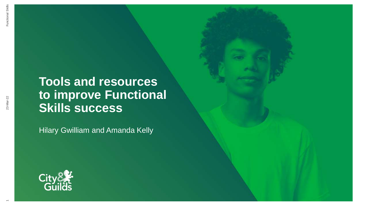# **Tools and resources to improve Functional SECONDENT**<br>
Tools and resc<br>
to improve Function<br>
Skills success

Hilary Gwilliam and Amanda Kelly



 $\overline{\phantom{0}}$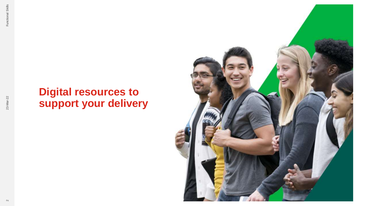### **Digital resources to support your delivery**

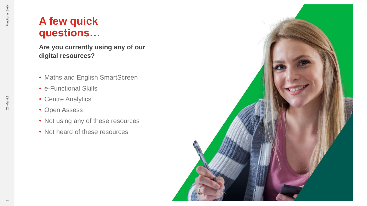### **A few quick questions…**

**Are you currently using any of our digital resources?**

- Maths and English SmartScreen
- e-Functional Skills
- Centre Analytics
- Open Assess
- Not using any of these resources
- Not heard of these resources

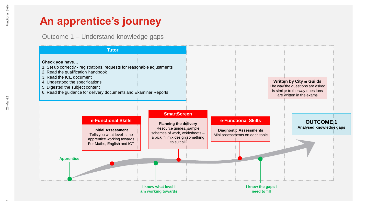Outcome 1 – Understand knowledge gaps

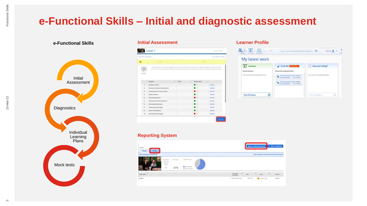### **e-Functional Skills – Initial and diagnostic assessment**



#### **e-Functional Skills Learner Profile Initial Assessment**

| lower to ting limit.   |                                                                                                                   |  |            |                                     |               |             | Firm Sales-Jam 534            |
|------------------------|-------------------------------------------------------------------------------------------------------------------|--|------------|-------------------------------------|---------------|-------------|-------------------------------|
|                        |                                                                                                                   |  |            |                                     |               |             |                               |
|                        | <b>THE R. P.</b>                                                                                                  |  |            | the contract of the contract of the |               |             |                               |
|                        | that foliol insurance must begun duty to act (a write work) provide case 1, lake fix degrees must be easy         |  |            |                                     |               |             |                               |
| 亖                      | any at cost I for a most bushed policie of your abilitary and the loss by the loss by colong at data board below. |  |            |                                     |               |             |                               |
|                        |                                                                                                                   |  |            |                                     |               |             |                               |
|                        |                                                                                                                   |  |            |                                     |               |             |                               |
|                        |                                                                                                                   |  |            |                                     |               |             |                               |
|                        | Governmen.                                                                                                        |  | $1 - 7694$ | ٠                                   | Fathermanus   | <b>ALC:</b> |                               |
| 11                     | <b>Reading Incomerci</b>                                                                                          |  |            |                                     | 1.11          |             | <b><i><u>Bigsting</u></i></b> |
| ×                      | <b>Fraction and decided againstated</b>                                                                           |  |            |                                     | 18            |             | Source                        |
|                        |                                                                                                                   |  |            |                                     | <b>SOFT</b>   |             | <b>Baylor</b>                 |
| $\sim$                 | Recognizing a 4.6 shing monkers:                                                                                  |  |            |                                     |               |             |                               |
| $\mathbf{r}_\parallel$ | Which pumbers                                                                                                     |  |            |                                     | <b>SH</b>     |             | <b>Bassade</b>                |
| $\mathbb{R}$           | Calculatera capacità                                                                                              |  |            |                                     | t per         |             | <b>Basines</b>                |
| $-11$                  | Werking with dowch properties -                                                                                   |  |            |                                     | $-1$          |             | <b>Bassett</b>                |
| H.                     | We kind with the injury.                                                                                          |  |            |                                     | <b>Call</b>   |             | States                        |
| $\mathbb{R}$           | Slivingstring commitmentages.                                                                                     |  |            |                                     | L-100         |             | Robinson                      |
| $\mathbf{u}_1$         | drober of preventories .                                                                                          |  |            |                                     | <b>L'assi</b> |             | Separate                      |



#### **Reporting System**

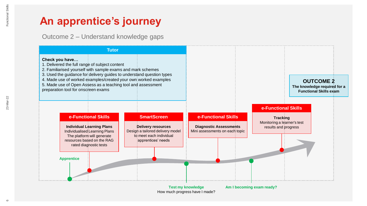Outcome 2 – Understand knowledge gaps

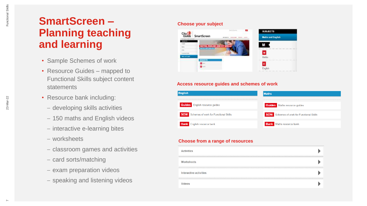### **SmartScreen – Planning teaching and learning**

- Sample Schemes of work
- Resource Guides mapped to Functional Skills subject content statements
- Resource bank including:
	- developing skills activities
	- 150 maths and English videos
	- interactive e-learning bites
	- worksheets
	- classroom games and activities
	- card sorts/matching
	- exam preparation videos
	- speaking and listening videos

#### **Choose your subject**



#### **Access resource guides and schemes of work**



#### **Choose from a range of resources**

| <b>PAITIVI</b>         |  |
|------------------------|--|
| Worksheets             |  |
| Interactive activities |  |
|                        |  |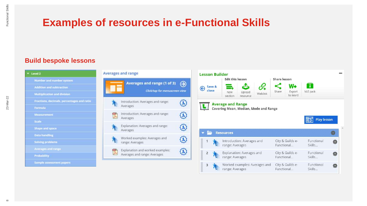### **Examples of resources in e-Functional Skills**

#### **Build bespoke lessons**

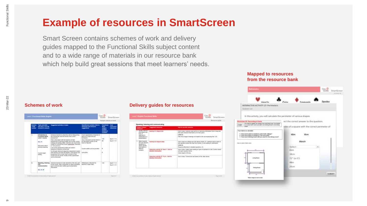### **Example of resources in SmartScreen**

Smart Screen contains schemes of work and delivery guides mapped to the Functional Skills subject content and to a wide range of materials in our resource bank which help build great sessions that meet learners' needs.

|                                                   |                                                                                                                                                       |                                                                                                                                                                                                                                                                                                                                                                                                                                                                                                                                                                                                                                                                                                                                                  |                                                                                                                                                                                                                                                                                   | Survais relates of servi-                                                                         |                                                |
|---------------------------------------------------|-------------------------------------------------------------------------------------------------------------------------------------------------------|--------------------------------------------------------------------------------------------------------------------------------------------------------------------------------------------------------------------------------------------------------------------------------------------------------------------------------------------------------------------------------------------------------------------------------------------------------------------------------------------------------------------------------------------------------------------------------------------------------------------------------------------------------------------------------------------------------------------------------------------------|-----------------------------------------------------------------------------------------------------------------------------------------------------------------------------------------------------------------------------------------------------------------------------------|---------------------------------------------------------------------------------------------------|------------------------------------------------|
| <b>Benedict</b><br><b>SHARE</b><br><b>SLATINI</b> | Tools and skills<br>wee (SLC, Har W)<br>monsees in seasies                                                                                            | <b>Termerind definition of Links</b>                                                                                                                                                                                                                                                                                                                                                                                                                                                                                                                                                                                                                                                                                                             | Sourcestoners portant, look to<br><b>Herailton</b> and resource<br>magnitions                                                                                                                                                                                                     | Parenthous) :<br><b>Kache</b><br>mationed<br><b>DAFBER</b><br><b>MOVEMENT</b><br><b>Facultain</b> | Care<br>correspon<br>references                |
| к.                                                | <b>Introduction</b> for<br>Farschonal Skilly<br>Level 1 course.<br><b>BLC.R</b><br>Discussion about<br>president marming<br>Course toront<br>seizing. | Introduce identity to what they will be cloing domest<br>the costrainvest and the format of the Cevel ?<br><b>ASSISTED</b><br>Held a Sex palor with the teamers on their<br>experiences of learning Grailsh and califieir zureen<br>mading and setting fulders. Line term can recard their<br>mealth in a lot ball they drawn captive paint. Boardon's<br>Contract toyl in<br>LOOK At The Jackings and D'Bona and Afraid is<br>Raintenball of Dearmore, of they hand.<br>(ii) Sylugh while and daughosts Janesament mealty<br>with leady one and wide four targets. If the ingries has<br>principational filters a looked blood, is review of Buil-<br>tourse and any broom mouth of their possesseem.<br>twithe discussed.<br><b>CONTRACTOR</b> | Circer impedulates of learning in<br>ferring of un clears sind any<br>horisowork.<br>Use a deconsist prompt shout or<br>SUI BACABAOR SAE'M OR TRA<br><b>Booklin Broken, January</b><br>Clauden subtine cars be periodent<br>A 1960-AD (2008) 2011<br><b>LPalliPs</b><br>citizen a | <b>STAR</b><br>$1 - 8$<br>$+$<br>٠<br>٠                                                           | <b>KITCH</b><br>56387.1-6<br>Stock1.3-8<br>100 |
| 制                                                 | Spraking, Brenning<br>aint<br>scientificantella di lacia<br><b>SLC: N.W.</b>                                                                          | FRANCISCO AND THE SERVICES CARD FOR THE DOGS CARD IN<br>of the counter residual discussion are adult constitutes.<br>positi communication siellisis groot persantarium<br><b>Mariespare</b>                                                                                                                                                                                                                                                                                                                                                                                                                                                                                                                                                      | Withologic or Noctor: for<br>Makingdo 31 Safety students<br>[ 8일 1 1 ] 12 [ 12 ] 12 [ 12]                                                                                                                                                                                         | 14                                                                                                | <b>MARTIN</b><br>B-017.1-3                     |

#### **Schemes of work Delivery guides for resources**

| Subsect connect                                                                                                          | Speaking, fistenting and communicating                                 |                                                                                                                                                                                                                                                                                                                                                                               |  |  |  |
|--------------------------------------------------------------------------------------------------------------------------|------------------------------------------------------------------------|-------------------------------------------------------------------------------------------------------------------------------------------------------------------------------------------------------------------------------------------------------------------------------------------------------------------------------------------------------------------------------|--|--|--|
| <b>ABABAGAAN</b>                                                                                                         | <b>Supported researces</b>                                             | Mondale and Eds research                                                                                                                                                                                                                                                                                                                                                      |  |  |  |
| I HAVASTY-MARLANE<br>FAVORAGE AND<br>lines of<br>setparent it in<br>deployabook on<br>DRIGHTAFRON &                      | America 31 Airport info                                                | Use to close. Common your and he to memories what when from a major web<br>therogany relevant information on lot their power.<br>Links for 1<br>Information in requirement and in the program and a secondary to the first of the control and a state of the control of the control of the control of the control of the control of the control of the control of the control |  |  |  |
| Make responsible<br>sind sub relevant<br>doctobote to<br>ottain specific.<br>information in<br>different.<br>transports. | Airmity 22: Airport notes<br>the company of the property of            | Line in class as a follow-up to the above Activity 31. Catalogny work in paint for<br>Jok garetters ideal the loop fore Activity 31 and issueg for darticution.<br><b>Links for</b><br>Responsi effectivity to detailed questions. (II)                                                                                                                                       |  |  |  |
|                                                                                                                          | Intentative polycity 22: Dec 3 - Auk hot<br>detailed information       | Use tricites. Useful asset issues at types of specifical to ask. Control down<br>per span a police terms.<br>Victim langer: 6,50 mins.                                                                                                                                                                                                                                        |  |  |  |
|                                                                                                                          | Internation activity (S: Toy R - Ask for<br><b>Situked information</b> | Uses in close. Tunanel and lead based on the object strong.                                                                                                                                                                                                                                                                                                                   |  |  |  |

#### **Mapped to resources from the resource bank**

| <b>Marketter</b> (S. A.                                                                                                                                                                                                     |                                                                                            | <b>Chain</b><br>SmurtScreen<br>Ackami 48 |
|-----------------------------------------------------------------------------------------------------------------------------------------------------------------------------------------------------------------------------|--------------------------------------------------------------------------------------------|------------------------------------------|
| Hearte                                                                                                                                                                                                                      | Clubse<br>immonde                                                                          | Spodes                                   |
| INTERACTIVE ACTIVITY 27: Perimeters<br>Question List                                                                                                                                                                        |                                                                                            |                                          |
| In this activity, you will calculate the perimeter of various shapes.                                                                                                                                                       |                                                                                            |                                          |
| 129. Connecting at home<br>The want to spoke your diving rook and bring lower. The decays<br><b><i><u>STARTER</u></i></b><br>to auton                                                                                       | ect the correct answer to the question.<br>sides of a square with the correct perimeter of |                                          |
| Top task is to optioble.<br>5. Your rout is paint in nousind to paint both colleage?<br>2. Your country paint in excellent by coast stands and if<br>7. Now round: skirting foreigt add puts yourd for the divines well. 3. | 40m<br>6km                                                                                 |                                          |
| tests in a pape of turn commo-                                                                                                                                                                                              | Martch                                                                                     |                                          |
|                                                                                                                                                                                                                             | -Select-<br>6km                                                                            |                                          |
| $\rightarrow$<br>Listra Rent                                                                                                                                                                                                | 34cm<br>72" (or 6')                                                                        |                                          |
| <b>Stating Plasma</b>                                                                                                                                                                                                       | 48m<br>20cm                                                                                |                                          |
| $\frac{1}{2}$                                                                                                                                                                                                               |                                                                                            | <b><i>SUBMIT</i></b>                     |
| Works change for text to explo-                                                                                                                                                                                             |                                                                                            |                                          |
|                                                                                                                                                                                                                             |                                                                                            |                                          |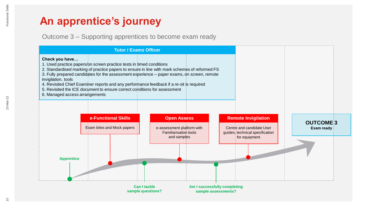Outcome 3 – Supporting apprentices to become exam ready

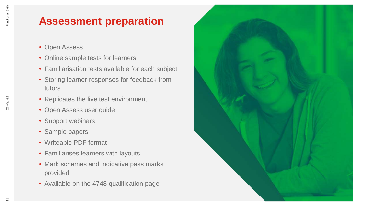### **Assessment preparation**

- Open Assess
- Online sample tests for learners
- Familiarisation tests available for each subject
- Storing learner responses for feedback from tutors
- Replicates the live test environment
- Open Assess user guide
- Support webinars
- Sample papers
- Writeable PDF format
- Familiarises learners with layouts
- Mark schemes and indicative pass marks provided
- Available on the 4748 qualification page

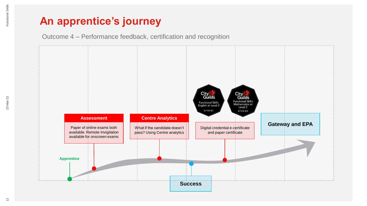Outcome 4 – Performance feedback, certification and recognition

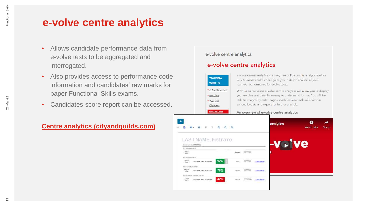### **e-volve centre analytics**

- Allows candidate performance data from e-volve tests to be aggregated and interrogated.
- Also provides access to performance code information and candidates' raw marks for paper Functional Skills exams.
- Candidates score report can be accessed.

٠

ALC:

 $2016$ 

#### **Centre analytics (cityandguilds.com)**

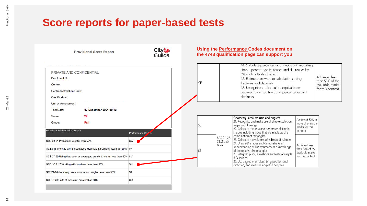### **Score reports for paper-based tests**

| <b>Provisional Score Report</b>                                                                                           | <b>City&amp;</b><br>Guilds | Using the <b>Performance Codes document on</b><br>the 4748 qualification page can support you. |                                   |                                                                                                                                                                                                                                                                                                             |                                                        |                                                                         |  |
|---------------------------------------------------------------------------------------------------------------------------|----------------------------|------------------------------------------------------------------------------------------------|-----------------------------------|-------------------------------------------------------------------------------------------------------------------------------------------------------------------------------------------------------------------------------------------------------------------------------------------------------------|--------------------------------------------------------|-------------------------------------------------------------------------|--|
| PRIVATE AND CONFIDENTIAL<br>Enrolment No:<br>Centre:<br>Centre Installation Code:<br>Qualification:                       |                            |                                                                                                |                                   | 14. Calculate percentages of quantities, including<br>simple percentage increases and decreases by<br>5% and multiples thereof<br>15. Estimate answers to calculations using<br>fractions and decimals<br>16. Recognise and calculate equivalences<br>between common fractions, percentages and<br>decimals |                                                        | Achieved less<br>than 50% of the<br>available marks<br>for this content |  |
| Unit or Assessment:<br><b>Test Date:</b><br>13 December 2021 00:12                                                        |                            |                                                                                                |                                   |                                                                                                                                                                                                                                                                                                             |                                                        |                                                                         |  |
| 29<br>Score:                                                                                                              |                            |                                                                                                |                                   |                                                                                                                                                                                                                                                                                                             |                                                        |                                                                         |  |
| Fail<br>Grade:                                                                                                            |                            | <b>SS</b>                                                                                      |                                   | Geometry, area, volume and angles:<br>21. Recognise and make use of simple scales on<br>maps and drawings<br>22. Calculate the area and perimeter of simple                                                                                                                                                 | Achieved 50% or<br>more of available<br>marks for this |                                                                         |  |
| <b>Functional Mathematics Level 1</b>                                                                                     | Performance Cor            |                                                                                                |                                   | shapes including those that are made up of a<br>combination of rectangles                                                                                                                                                                                                                                   | content                                                |                                                                         |  |
| SCS 30-31 Probability greater than 50%<br>SCS8-16 Working with percentages, decimals & fractions less than 50% SP         | <b>SW</b>                  | <b>ST</b>                                                                                      | SCS 21, 22,<br>23, 24, 25<br>& 26 | 23. Calculate the volumes of cubes and cuboids<br>24. Draw 2-D shapes and demonstrate an<br>understanding of line symmetry and knowledge<br>of the relative size of angles                                                                                                                                  | Achieved less<br>than 50% of the<br>available marks    |                                                                         |  |
| SCS 27-29 Using data such as averages, graphs & charts less than 50% SV<br>SCS1-7 & 17 Working with numbers less than 50% | SN                         |                                                                                                |                                   | 25. Interpret plans, elevations and nets of simple<br>3-D shapes<br>26. Use angles when describing position and                                                                                                                                                                                             | for this content                                       |                                                                         |  |
| SCS21-26 Geometry, area, volume and angles less than 50%                                                                  | <b>ST</b>                  |                                                                                                |                                   | direction, and measure angles in degrees                                                                                                                                                                                                                                                                    |                                                        |                                                                         |  |
| SCS18-20 Units of measure greater than 50%                                                                                | <b>SQ</b>                  |                                                                                                |                                   |                                                                                                                                                                                                                                                                                                             |                                                        |                                                                         |  |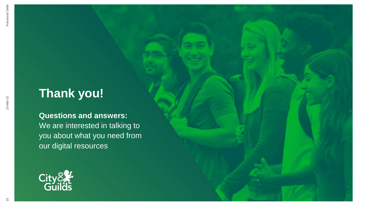### **Thank you!**

### **Questions and answers:** We are interested in talking to you about what you need from our digital resources

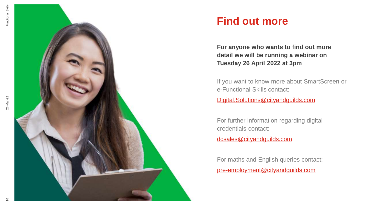



### **Find out more**

**For anyone who wants to find out more detail we will be running a webinar on Tuesday 26 April 2022 at 3pm** 

If you want to know more about SmartScreen or e-Functional Skills contact:

Digital.Solutions@cityandguilds.com

For further information regarding digital credentials contact:

dcsales@cityandguilds.com

For maths and English queries contact: pre -employment@cityandguilds.com